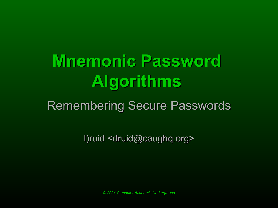# **Mnemonic Password Algorithms**

#### Remembering Secure Passwords

I)ruid <druid@caughq.org>

*© 2004 Computer Academic Underground*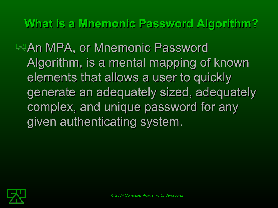**What is a Mnemonic Password Algorithm?**

**EAn MPA, or Mnemonic Password** Algorithm, is a mental mapping of known elements that allows a user to quickly generate an adequately sized, adequately complex, and unique password for any given authenticating system.

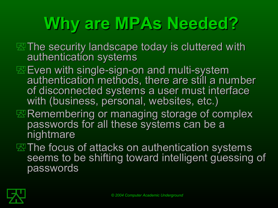# **Why are MPAs Needed?**

- **EXThe security landscape today is cluttered with** authentication systems
- **Even with single-sign-on and multi-system** authentication methods, there are still a number of disconnected systems a user must interface with (business, personal, websites, etc.)
- $\mathbb Z$  Remembering or managing storage of complex passwords for all these systems can be a nightmare
- $\mathbb E$ The focus of attacks on authentication systems seems to be shifting toward intelligent guessing of passwords

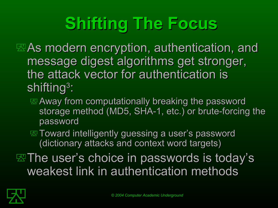# **Shifting The Focus**

 $\mathbb Z$ As modern encryption, authentication, and message digest algorithms get stronger, the attack vector for authentication is shifting $^3$ :

- Away from computationally breaking the password storage method (MD5, SHA-1, etc.) or brute-forcing the password
- **EX** Toward intelligently guessing a user's password (dictionary attacks and context word targets)
- $\mathbb E$  The user's choice in passwords is today's weakest link in authentication methods

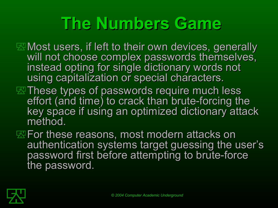## **The Numbers Game**

- **EX** Most users, if left to their own devices, generally will not choose complex passwords themselves, instead opting for single dictionary words not using capitalization or special characters.
- **EXThese types of passwords require much less** effort (and time) to crack than brute-forcing the key space if using an optimized dictionary attack method.
- **EXE For these reasons, most modern attacks on** authentication systems target guessing the user's password first before attempting to brute-force the password.

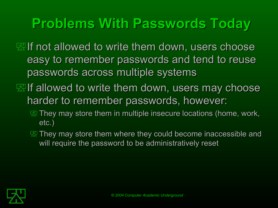### **Problems With Passwords Today**

 $\mathbb Z$  If not allowed to write them down, users choose easy to remember passwords and tend to reuse passwords across multiple systems

- $\mathbb E$  If allowed to write them down, users may choose harder to remember passwords, however:
	- $\mathbb{Z}$  They may store them in multiple insecure locations (home, work, etc.)
	- $\mathbb{Z}$  They may store them where they could become inaccessible and will require the password to be administratively reset

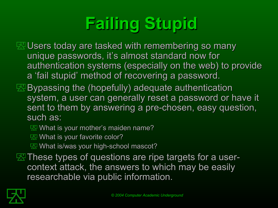# **Failing Stupid**

**E. Users today are tasked with remembering so many** unique passwords, it's almost standard now for authentication systems (especially on the web) to provide a 'fail stupid' method of recovering a password.

 $\mathbb E$  Bypassing the (hopefully) adequate authentication system, a user can generally reset a password or have it sent to them by answering a pre-chosen, easy question, such as:

**What is your mother's maiden name?** 

 $\mathbb{Z}$  What is your favorite color?

**What is/was your high-school mascot?** 

 $\mathbb Z$  These types of questions are ripe targets for a usercontext attack, the answers to which may be easily researchable via public information.

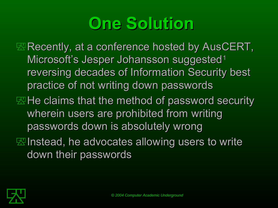## **One Solution**

 $\mathbb Z$  Recently, at a conference hosted by AusCERT, Microsoft's Jesper Johansson suggested<sup>1</sup> reversing decades of Information Security best practice of not writing down passwords

- $\mathbb Z$  He claims that the method of password security wherein users are prohibited from writing passwords down is absolutely wrong
- $\mathbb E$  Instead, he advocates allowing users to write down their passwords

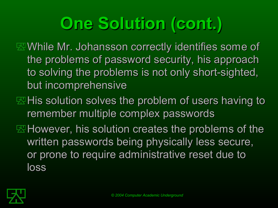# **One Solution (cont.)**

**EXA While Mr. Johansson correctly identifies some of** the problems of password security, his approach to solving the problems is not only short-sighted, but incomprehensive

- $\mathbb Z$ His solution solves the problem of users having to remember multiple complex passwords
- $\mathbb E$ However, his solution creates the problems of the written passwords being physically less secure, or prone to require administrative reset due to loss

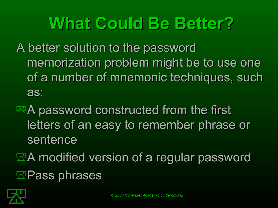## **What Could Be Better?**

A better solution to the password memorization problem might be to use one of a number of mnemonic techniques, such as:

 $\mathbb{R}$ A password constructed from the first letters of an easy to remember phrase or sentence

 $\mathbb{E}$ A modified version of a regular password

**EXPass phrases** 

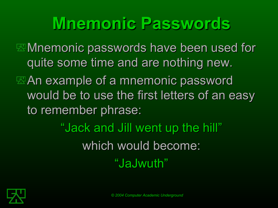## **Mnemonic P nemonic Passwords**

**EXAnemonic passwords have been used for** quite some time and are nothing new.

 $\mathbb{R}$ An example of a mnemonic password would be to use the first letters of an easy to remember phrase:

> "Jack and Jill went up the hill" which would become: "JaJwuth"

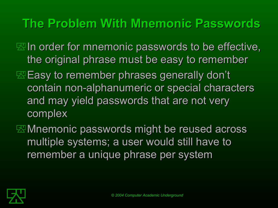#### **The Problem With Mnemonic Passwords**

- $\mathbb Z$  In order for mnemonic passwords to be effective, the original phrase must be easy to remember
- **Easy to remember phrases generally don't** contain non-alphanumeric or special characters and may yield passwords that are not very complex
- **EX** Mnemonic passwords might be reused across multiple systems; a user would still have to remember a unique phrase per system

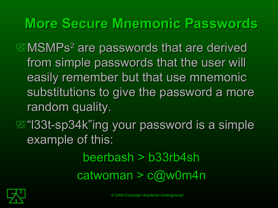#### **More Secure Mnemonic Passwords**

MSMPs<sup>2</sup> are passwords that are derived from simple passwords that the user will easily remember but that use mnemonic substitutions to give the password a more random quality.

#### $\mathbb{E}$  **"l33t-sp34k"ing your password is a simple** example of this:

#### beerbash > b33rb4sh catwoman > c@w0m4n

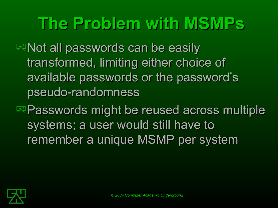## **The Problem with MSMPs**

**ENot all passwords can be easily** transformed, limiting either choice of available passwords or the password's pseudo-randomness

 $E$  Passwords might be reused across multiple systems; a user would still have to remember a unique MSMP per system

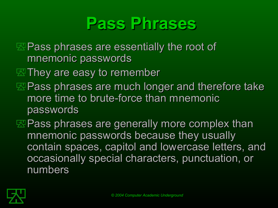## **Pass Phrases**

**EXPass phrases are essentially the root of** mnemonic passwords

 $\mathbb Z$  They are easy to remember

**EXPass phrases are much longer and therefore take** more time to brute-force than mnemonic passwords

**EXPass phrases are generally more complex than** mnemonic passwords because they usually contain spaces, capitol and lowercase letters, and occasionally special characters, punctuation, or numbers

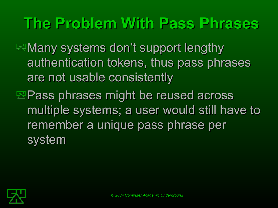## **The Problem With Pass Phrases**

 $\mathbb Z$  Many systems don't support lengthy authentication tokens, thus pass phrases are not usable consistently

 $\mathbb{E}$  Pass phrases might be reused across multiple systems; a user would still have to remember a unique pass phrase per system

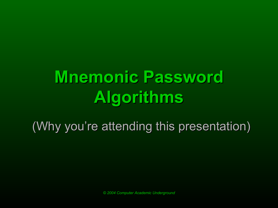# **Mnemonic Password Algorithms**

(Why you're attending this presentation)

*© 2004 Computer Academic Underground*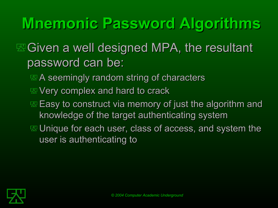## **Mnemonic Password Algorithms**

#### $\mathbb E$  Given a well designed MPA, the resultant password can be:

- A seemingly random string of characters
- **EVery complex and hard to crack**
- $\mathbb E$  Easy to construct via memory of just the algorithm and knowledge of the target authenticating system
- $\mathbb E$  Unique for each user, class of access, and system the user is authenticating to

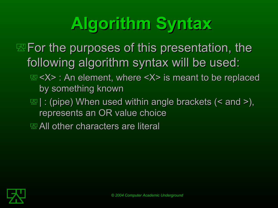# **Algorithm Syntax**

- $\mathbb E$  For the purposes of this presentation, the following algorithm syntax will be used:
	- <X> : An element, where <X> is meant to be replaced by something known
	- $\mathbb{E}$  | : (pipe) When used within angle brackets (< and >), represents an OR value choice

**EXAII** other characters are literal

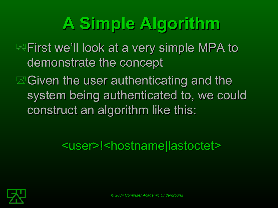# **A Simple Algorithm**

**EXEIT First we'll look at a very simple MPA to** demonstrate the concept

 $\mathbb E$  Given the user authenticating and the system being authenticated to, we could construct an algorithm like this:

<user>!<hostname|lastoctet>

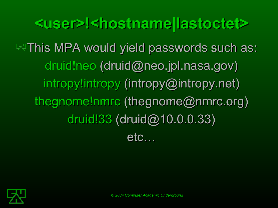**<user>!<hostname|lastoctet> EXThis MPA would yield passwords such as:** druid!neo (druid@neo.jpl.nasa.gov) intropy!intropy (intropy@intropy.net) thegnome!nmrc (thegnome@nmrc.org) druid!33 (druid@10.0.0.33) etc…

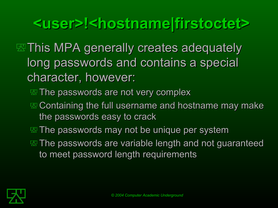### **<user>!<hostname|firstoctet>**

**EXThis MPA generally creates adequately** long passwords and contains a special character, however:

**EX The passwords are not very complex** 

- $\mathbb{E}$  **Containing the full username and hostname may make** the passwords easy to crack
- **EX The passwords may not be unique per system**
- **EX The passwords are variable length and not guaranteed** to meet password length requirements

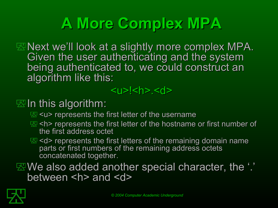## **A More Complex MPA**

 $\mathbb Z$  Next we'll look at a slightly more complex MPA. Given the user authenticating and the system being authenticated to, we could construct an algorithm like this:

#### <u>!<h>.<d>

#### $\mathbb Z$  In this algorithm:

- **EX**</u> <u> represents the first letter of the username
- $\mathbb{E}$  <h> represents the first letter of the hostname or first number of the first address octet
- $\mathbb{E}<$ d> represents the first letters of the remaining domain name parts or first numbers of the remaining address octets concatenated together.

We also added another special character, the '.' between <h> and <d>

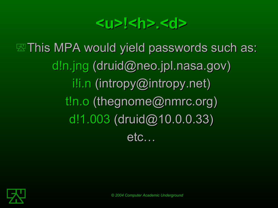#### <u>!<h>.<d>

**EXThis MPA would yield passwords such as:** d!n.jng (druid@neo.jpl.nasa.gov) i!i.n (intropy@intropy.net) t!n.o (thegnome@nmrc.org) d!1.003 (druid@10.0.0.33) etc…

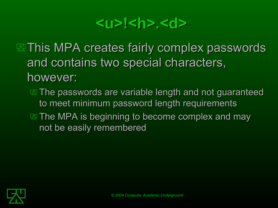#### <u>!<h>.<d></u>

**EXThis MPA creates fairly complex passwords** and contains two special characters, however:

The passwords are variable length and not guaranteed to meet minimum password length requirements  $\mathbb E$  The MPA is beginning to become complex and may not be easily remembered

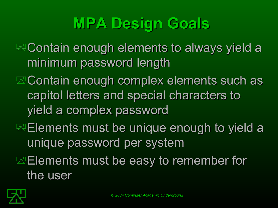## **MPA Design Goals**

 $\mathbb E$  Contain enough elements to always yield a minimum password length

- $\mathbb E$  Contain enough complex elements such as capitol letters and special characters to yield a complex password
- **Elements must be unique enough to yield a** unique password per system
- $E$  Elements must be easy to remember for the user

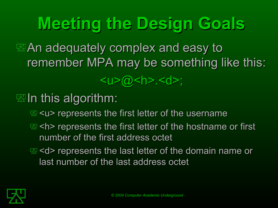## **Meeting the Design Goals**

 $\mathbb Z$ An adequately complex and easy to remember MPA may be something like this:

#### <u>@<h>.<d>;</u>

 $\mathbb Z$  In this algorithm:

E subgive represents the first letter of the username</u>

**E <h>** represents the first letter of the hostname or first number of the first address octet

 $\mathbb{E}$  **<d> represents the last letter of the domain name or** last number of the last address octet

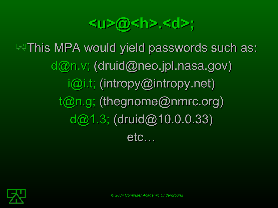**<u>@<h>.<d>;**

**EXThis MPA would yield passwords such as:**  $d@n.v; (druid@neo.jpl.nasa.gov)$ i@i.t; (intropy@intropy.net)  $t@n.g;$  (thegnome@nmrc.org) d@1.3; (druid@10.0.0.33) etc…

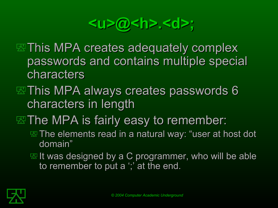#### **<u>@<h>.<d>;**

- **EXThis MPA creates adequately complex** passwords and contains multiple special characters
- $\mathbb Z$ This MPA always creates passwords 6 characters in length
- $\mathbb E$  The MPA is fairly easy to remember:
	- The elements read in a natural way: "user at host dot domain"
	- $\mathbb E$  It was designed by a C programmer, who will be able to remember to put a ';' at the end.

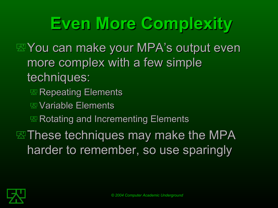**Even More Complexity**

**EXI You can make your MPA's output even** more complex with a few simple techniques:

- **EXA** Repeating Elements
- Variable Elements
- **EX Rotating and Incrementing Elements**

 $\mathbb E$  These techniques may make the MPA harder to remember, so use sparingly

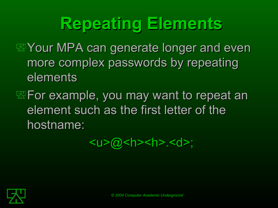## **Repeating Elements**

- **EXI Your MPA can generate longer and even** more complex passwords by repeating elements
- $\mathbb Z$  For example, you may want to repeat an element such as the first letter of the hostname:

 $\langle u \rangle$   $\langle a \rangle$   $\langle h \rangle$   $\langle h \rangle$   $\langle d \rangle$ ;

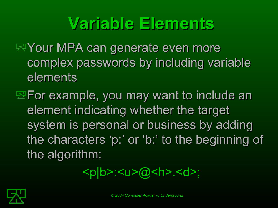## **Variable Elements**

- **EYour MPA can generate even more** complex passwords by including variable elements
- $E = F$  For example, you may want to include an element indicating whether the target system is personal or business by adding the characters 'p:' or 'p:' or 'b:' to the beginning of 'b:' to the beginning of the algorithm:

<p|b>:<u>@<h>.<d>;

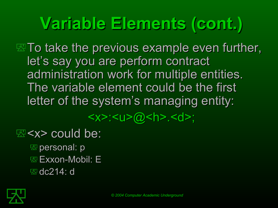## **Variable Elements (cont.)**

 $\mathbb Z$  To take the previous example even further, let's say you are perform contract administration work for multiple entities. The variable element could be the first letter of the system's managing entity:

<x>:<u>@<h>.<d>;

#### $\mathbb{E}$  could be:

**Expersonal: p EXXON-Mobil: E 図** dc214: d

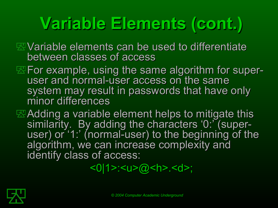# **Variable Elements (cont.)**

- Variable elements can be used to differentiate between classes of access
- **EXIF** or example, using the same algorithm for superuser and normal-user access on the same system may result in passwords that have only minor differences
- **EXAdding a variable element helps to mitigate this** similarity. By adding the characters '0:' (superuser) or '1:' (normal-user) to the beginning of the algorithm, we can increase complexity and identify class of access:

<0|1>:<u>@<h>.<d>;

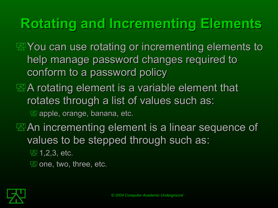### **Rotating and Incrementing Elements**

**EX** You can use rotating or incrementing elements to help manage password changes required to conform to a password policy

A rotating element is a variable element that rotates through a list of values such as:

 $\mathbb{Z}$  apple, orange, banana, etc.

**EXAn incrementing element is a linear sequence of** values to be stepped through such as:

 $\overline{\mathbb{E}$  1, 2, 3, etc.

 $\mathbb{Z}$  one, two, three, etc.

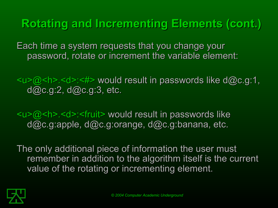**Rotating and Incrementing Elements (cont.)**

Each time a system requests that you change your password, rotate or increment the variable element:

<u>@<h>.<d>:<#> would result in passwords like d@c.g:1, d@c.g:2, d@c.g:3, etc.

 $\langle \psi \rangle = \langle \psi \rangle$  =  $\langle \psi \rangle$  =  $\langle \psi \rangle$  =  $\langle \psi \rangle$  =  $\langle \psi \rangle$  =  $\langle \psi \rangle$  =  $\langle \psi \rangle$  =  $\langle \psi \rangle$  =  $\langle \psi \rangle$  =  $\langle \psi \rangle$  =  $\langle \psi \rangle$  =  $\langle \psi \rangle$  =  $\langle \psi \rangle$  =  $\langle \psi \rangle$  =  $\langle \psi \rangle$  =  $\langle \psi \rangle$  =  $\langle \psi \rangle$  =  $\langle \psi \rangle$  =  $\langle \psi \rangle$  =  $\langle \psi$ d@c.g:apple, d@c.g:orange, d@c.g:banana, etc.

The only additional piece of information the user must remember in addition to the algorithm itself is the current value of the rotating or incrementing element.

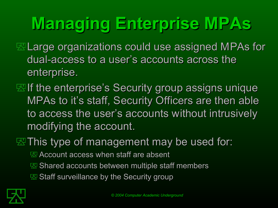# **Managing Enterprise MPAs**

- Large organizations could use assigned MPAs for dual-access to a user's accounts across the enterprise.
- $\mathbb Z$  If the enterprise's Security group assigns unique MPAs to it's staff, Security Officers are then able to access the user's accounts without intrusively modifying the account.
- $\mathbb Z$  This type of management may be used for:
	- **EX** Account access when staff are absent
	- **E** Shared accounts between multiple staff members
	- $\mathbb E$  Staff surveillance by the Security group

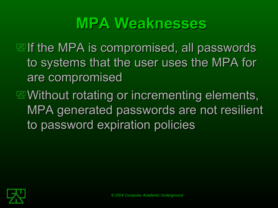### **MPA Weaknesses**

 $\mathbb Z$  If the MPA is compromised, all passwords to systems that the user uses the MPA for are compromised

 $\mathbb E \mathbb W$ ithout rotating or incrementing elements, MPA generated passwords are not resilient to password expiration policies

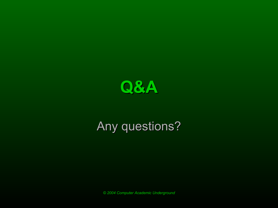

#### Any questions?

*© 2004 Computer Academic Underground*